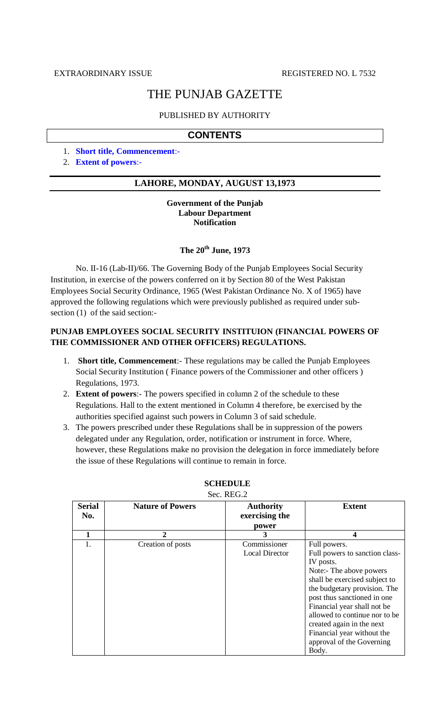# THE PUNJAB GAZETTE

PUBLISHED BY AUTHORITY

### **CONTENTS**

- 1. **Short title, Commencement**:-
- 2. **Extent of powers**:-

## **LAHORE, MONDAY, AUGUST 13,1973**

#### **Government of the Punjab Labour Department Notification**

# **The 20th June, 1973**

No. II-16 (Lab-II)/66. The Governing Body of the Punjab Employees Social Security Institution, in exercise of the powers conferred on it by Section 80 of the West Pakistan Employees Social Security Ordinance, 1965 (West Pakistan Ordinance No. X of 1965) have approved the following regulations which were previously published as required under subsection (1) of the said section:-

## **PUNJAB EMPLOYEES SOCIAL SECURITY INSTITUION (FINANCIAL POWERS OF THE COMMISSIONER AND OTHER OFFICERS) REGULATIONS.**

- 1. **Short title, Commencement**:- These regulations may be called the Punjab Employees Social Security Institution ( Finance powers of the Commissioner and other officers ) Regulations, 1973.
- 2. **Extent of powers**:- The powers specified in column 2 of the schedule to these Regulations. Hall to the extent mentioned in Column 4 therefore, be exercised by the authorities specified against such powers in Column 3 of said schedule.
- 3. The powers prescribed under these Regulations shall be in suppression of the powers delegated under any Regulation, order, notification or instrument in force. Where, however, these Regulations make no provision the delegation in force immediately before the issue of these Regulations will continue to remain in force.

| <b>Serial</b><br>No. | <b>Nature of Powers</b> | <b>Authority</b><br>exercising the<br>power | <b>Extent</b>                                                                                                                                                                                                                                                                                                                                           |
|----------------------|-------------------------|---------------------------------------------|---------------------------------------------------------------------------------------------------------------------------------------------------------------------------------------------------------------------------------------------------------------------------------------------------------------------------------------------------------|
|                      | 2                       | 3                                           | 4                                                                                                                                                                                                                                                                                                                                                       |
|                      | Creation of posts       | Commissioner<br><b>Local Director</b>       | Full powers.<br>Full powers to sanction class-<br>IV posts.<br>Note:- The above powers<br>shall be exercised subject to<br>the budgetary provision. The<br>post thus sanctioned in one<br>Financial year shall not be<br>allowed to continue nor to be<br>created again in the next<br>Financial year without the<br>approval of the Governing<br>Body. |

#### **SCHEDULE** Sec. REG.2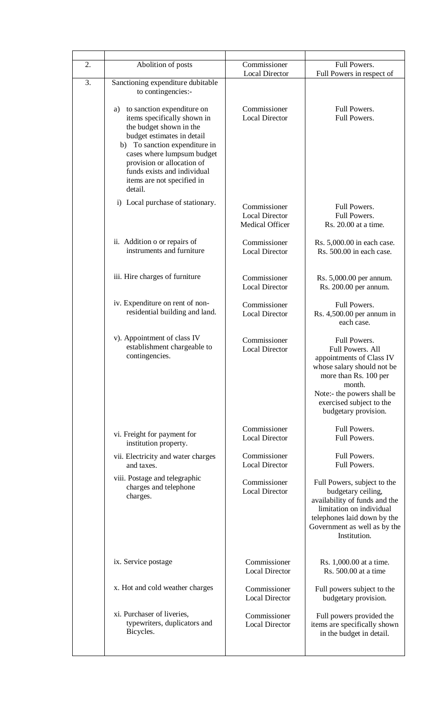| 2. | Abolition of posts                                                                                                                                                                                                                                                                            | Commissioner<br><b>Local Director</b>                    | Full Powers.<br>Full Powers in respect of                                                                                                                                                                       |
|----|-----------------------------------------------------------------------------------------------------------------------------------------------------------------------------------------------------------------------------------------------------------------------------------------------|----------------------------------------------------------|-----------------------------------------------------------------------------------------------------------------------------------------------------------------------------------------------------------------|
| 3. | Sanctioning expenditure dubitable<br>to contingencies:-                                                                                                                                                                                                                                       |                                                          |                                                                                                                                                                                                                 |
|    | to sanction expenditure on<br>a)<br>items specifically shown in<br>the budget shown in the<br>budget estimates in detail<br>b) To sanction expenditure in<br>cases where lumpsum budget<br>provision or allocation of<br>funds exists and individual<br>items are not specified in<br>detail. | Commissioner<br><b>Local Director</b>                    | Full Powers.<br>Full Powers.                                                                                                                                                                                    |
|    | i) Local purchase of stationary.                                                                                                                                                                                                                                                              | Commissioner<br><b>Local Director</b><br>Medical Officer | Full Powers.<br>Full Powers.<br>Rs. 20.00 at a time.                                                                                                                                                            |
|    | ii. Addition o or repairs of<br>instruments and furniture                                                                                                                                                                                                                                     | Commissioner<br><b>Local Director</b>                    | Rs. 5,000.00 in each case.<br>Rs. 500.00 in each case.                                                                                                                                                          |
|    | iii. Hire charges of furniture                                                                                                                                                                                                                                                                | Commissioner<br><b>Local Director</b>                    | Rs. 5,000.00 per annum.<br>Rs. 200.00 per annum.                                                                                                                                                                |
|    | iv. Expenditure on rent of non-<br>residential building and land.                                                                                                                                                                                                                             | Commissioner<br><b>Local Director</b>                    | Full Powers.<br>Rs. $4,500.00$ per annum in<br>each case.                                                                                                                                                       |
|    | v). Appointment of class IV<br>establishment chargeable to<br>contingencies.                                                                                                                                                                                                                  | Commissioner<br><b>Local Director</b>                    | Full Powers.<br>Full Powers. All<br>appointments of Class IV<br>whose salary should not be<br>more than Rs. 100 per<br>month.<br>Note:- the powers shall be<br>exercised subject to the<br>budgetary provision. |
|    | vi. Freight for payment for<br>institution property.                                                                                                                                                                                                                                          | Commissioner<br><b>Local Director</b>                    | Full Powers.<br>Full Powers.                                                                                                                                                                                    |
|    | vii. Electricity and water charges<br>and taxes.                                                                                                                                                                                                                                              | Commissioner<br><b>Local Director</b>                    | Full Powers.<br>Full Powers.                                                                                                                                                                                    |
|    | viii. Postage and telegraphic<br>charges and telephone<br>charges.                                                                                                                                                                                                                            | Commissioner<br><b>Local Director</b>                    | Full Powers, subject to the<br>budgetary ceiling,<br>availability of funds and the<br>limitation on individual<br>telephones laid down by the<br>Government as well as by the<br>Institution.                   |
|    | ix. Service postage                                                                                                                                                                                                                                                                           | Commissioner<br><b>Local Director</b>                    | Rs. 1,000.00 at a time.<br>Rs. 500.00 at a time                                                                                                                                                                 |
|    | x. Hot and cold weather charges                                                                                                                                                                                                                                                               | Commissioner<br><b>Local Director</b>                    | Full powers subject to the<br>budgetary provision.                                                                                                                                                              |
|    | xi. Purchaser of liveries,<br>typewriters, duplicators and<br>Bicycles.                                                                                                                                                                                                                       | Commissioner<br><b>Local Director</b>                    | Full powers provided the<br>items are specifically shown<br>in the budget in detail.                                                                                                                            |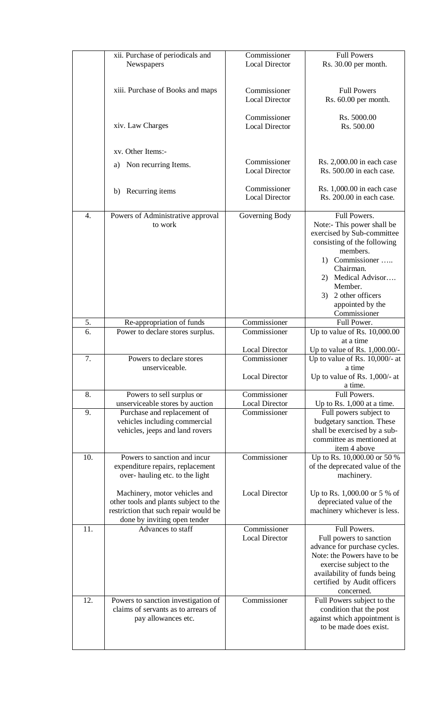|     | xii. Purchase of periodicals and<br>Newspapers                                                                                                  | Commissioner<br><b>Local Director</b> | <b>Full Powers</b><br>Rs. 30.00 per month.                                                                                                                                                                                                         |
|-----|-------------------------------------------------------------------------------------------------------------------------------------------------|---------------------------------------|----------------------------------------------------------------------------------------------------------------------------------------------------------------------------------------------------------------------------------------------------|
|     | xiii. Purchase of Books and maps                                                                                                                | Commissioner<br><b>Local Director</b> | <b>Full Powers</b><br>Rs. 60.00 per month.                                                                                                                                                                                                         |
|     | xiv. Law Charges                                                                                                                                | Commissioner<br><b>Local Director</b> | Rs. 5000.00<br>Rs. 500.00                                                                                                                                                                                                                          |
|     |                                                                                                                                                 |                                       |                                                                                                                                                                                                                                                    |
|     | xv. Other Items:-                                                                                                                               |                                       |                                                                                                                                                                                                                                                    |
|     | Non recurring Items.<br>a)                                                                                                                      | Commissioner<br><b>Local Director</b> | Rs. 2,000.00 in each case<br>Rs. 500.00 in each case.                                                                                                                                                                                              |
|     | Recurring items<br>b)                                                                                                                           | Commissioner<br><b>Local Director</b> | Rs. 1,000.00 in each case<br>Rs. 200.00 in each case.                                                                                                                                                                                              |
| 4.  | Powers of Administrative approval<br>to work                                                                                                    | Governing Body                        | Full Powers.<br>Note:- This power shall be<br>exercised by Sub-committee<br>consisting of the following<br>members.<br>1) Commissioner<br>Chairman.<br>2) Medical Advisor<br>Member.<br>2 other officers<br>3)<br>appointed by the<br>Commissioner |
| 5.  | Re-appropriation of funds                                                                                                                       | Commissioner                          | Full Power.                                                                                                                                                                                                                                        |
| 6.  | Power to declare stores surplus.                                                                                                                | Commissioner                          | Up to value of Rs. 10,000.00                                                                                                                                                                                                                       |
|     |                                                                                                                                                 | <b>Local Director</b>                 | at a time<br>Up to value of Rs. $1,000.00/-$                                                                                                                                                                                                       |
| 7.  | Powers to declare stores<br>unserviceable.                                                                                                      | Commissioner<br><b>Local Director</b> | Up to value of Rs. $10,000/$ - at<br>a time<br>Up to value of Rs. $1,000/-$ at                                                                                                                                                                     |
| 8.  | Powers to sell surplus or                                                                                                                       | Commissioner                          | a time.<br>Full Powers.                                                                                                                                                                                                                            |
|     | unserviceable stores by auction                                                                                                                 | <b>Local Director</b>                 | Up to Rs. 1,000 at a time.                                                                                                                                                                                                                         |
| 9.  | Purchase and replacement of<br>vehicles including commercial<br>vehicles, jeeps and land rovers                                                 | Commissioner                          | Full powers subject to<br>budgetary sanction. These<br>shall be exercised by a sub-<br>committee as mentioned at<br>item 4 above                                                                                                                   |
| 10. | Powers to sanction and incur<br>expenditure repairs, replacement<br>over-hauling etc. to the light                                              | Commissioner                          | Up to Rs. 10,000.00 or 50 %<br>of the deprecated value of the<br>machinery.                                                                                                                                                                        |
|     | Machinery, motor vehicles and<br>other tools and plants subject to the<br>restriction that such repair would be<br>done by inviting open tender | <b>Local Director</b>                 | Up to Rs. $1,000.00$ or 5 % of<br>depreciated value of the<br>machinery whichever is less.                                                                                                                                                         |
| 11. | Advances to staff                                                                                                                               | Commissioner<br><b>Local Director</b> | Full Powers.<br>Full powers to sanction<br>advance for purchase cycles.<br>Note: the Powers have to be<br>exercise subject to the<br>availability of funds being<br>certified by Audit officers<br>concerned.                                      |
| 12. | Powers to sanction investigation of<br>claims of servants as to arrears of<br>pay allowances etc.                                               | Commissioner                          | Full Powers subject to the<br>condition that the post<br>against which appointment is<br>to be made does exist.                                                                                                                                    |